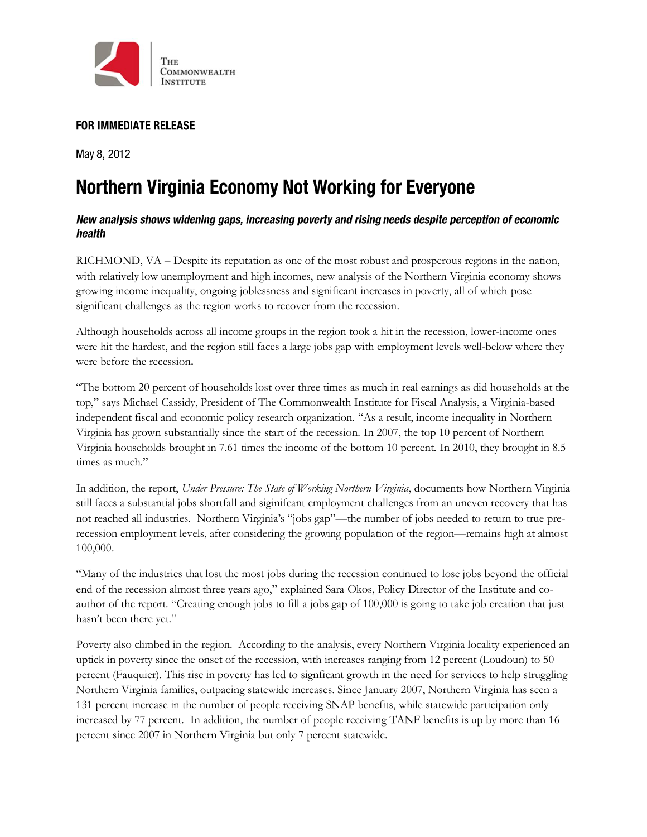

## **FOR IMMEDIATE RELEASE**

May 8, 2012

# **Northern Virginia Economy Not Working for Everyone**

## New analysis shows widening gaps, increasing poverty and rising needs despite perception of economic health

RICHMOND, VA – Despite its reputation as one of the most robust and prosperous regions in the nation, with relatively low unemployment and high incomes, new analysis of the Northern Virginia economy shows growing income inequality, ongoing joblessness and significant increases in poverty, all of which pose significant challenges as the region works to recover from the recession.

Although households across all income groups in the region took a hit in the recession, lower-income ones were hit the hardest, and the region still faces a large jobs gap with employment levels well-below where they were before the recession**.**

"The bottom 20 percent of households lost over three times as much in real earnings as did households at the top," says Michael Cassidy, President of The Commonwealth Institute for Fiscal Analysis, a Virginia-based independent fiscal and economic policy research organization. "As a result, income inequality in Northern Virginia has grown substantially since the start of the recession. In 2007, the top 10 percent of Northern Virginia households brought in 7.61 times the income of the bottom 10 percent. In 2010, they brought in 8.5 times as much."

In addition, the report, *Under Pressure: The State of Working Northern Virginia*, documents how Northern Virginia still faces a substantial jobs shortfall and siginifcant employment challenges from an uneven recovery that has not reached all industries. Northern Virginia's "jobs gap"—the number of jobs needed to return to true prerecession employment levels, after considering the growing population of the region—remains high at almost 100,000.

"Many of the industries that lost the most jobs during the recession continued to lose jobs beyond the official end of the recession almost three years ago," explained Sara Okos, Policy Director of the Institute and coauthor of the report. "Creating enough jobs to fill a jobs gap of 100,000 is going to take job creation that just hasn't been there yet."

Poverty also climbed in the region. According to the analysis, every Northern Virginia locality experienced an uptick in poverty since the onset of the recession, with increases ranging from 12 percent (Loudoun) to 50 percent (Fauquier). This rise in poverty has led to signficant growth in the need for services to help struggling Northern Virginia families, outpacing statewide increases. Since January 2007, Northern Virginia has seen a 131 percent increase in the number of people receiving SNAP benefits, while statewide participation only increased by 77 percent. In addition, the number of people receiving TANF benefits is up by more than 16 percent since 2007 in Northern Virginia but only 7 percent statewide.